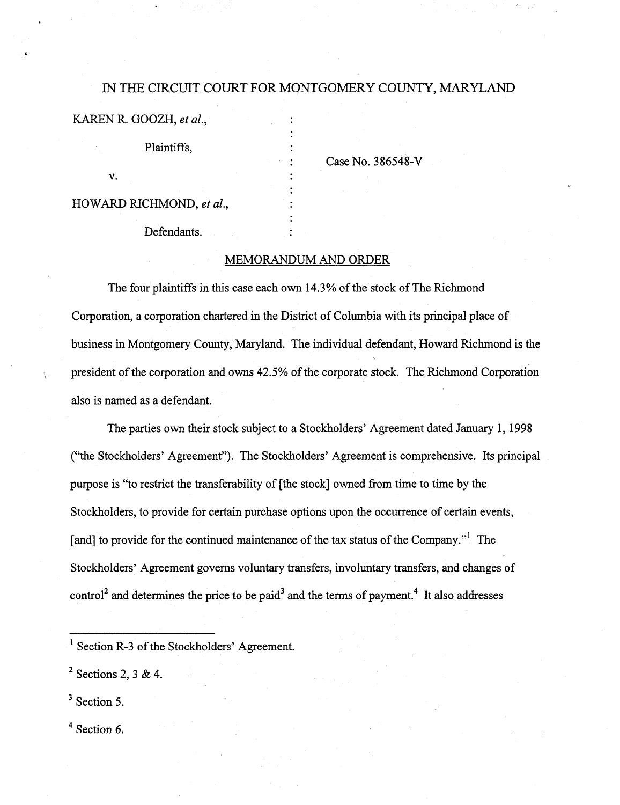# IN THE CIRGUIT COURT FOR MONTGOMERY COUNTY, MARYLAND

KAREN R. GOOZH, et al.,

Plaintiffs,

V.

HOWARD RICHMOND, et al.

Defendants.

Case No. 386548-V

## MEMORANDUM AND ORDER

The four plaintiffs in this case each own 14.3% of the stock of The Richmond Corporation, a corporation chartered in the District of Columbia with its principal place of business in Montgomery County, Maryland. The individual defendant, Howard Richmond is the president of the corporation and owns 42.5% of the corporate stock. The Richmond Corporation also is named as a defendant.

The parties own their stock subject to a Stockholders' Agreement dated January 1, 1998 ("the Stockholders' Agreement"). The Stockholders' Agreement is comprehensive. Its principal purpose is "to restrict the transferability of [the stock] owned from time to time by the Stockholders, to provide for certain purchase options upon the occurrence of certain events, [and] to provide for the continued maintenance of the tax status of the Company." $^{\text{1}}$  The Stockholders' Agreement governs voluntary transfers, involuntary transfers, and changes of control<sup>2</sup> and determines the price to be paid<sup>3</sup> and the terms of payment.<sup>4</sup> It also addresses

 $3$  Section 5.

 $<sup>4</sup>$  Section 6.</sup>

 $<sup>1</sup>$  Section R-3 of the Stockholders' Agreement.</sup>

 $^2$  Sections 2, 3 & 4.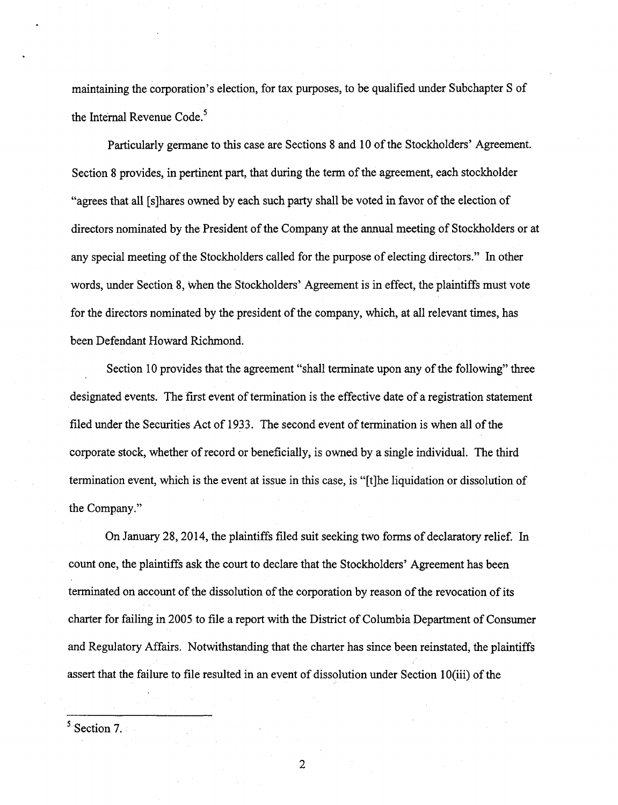maintaining the corporation's election, for tax purposes, to be qualified under Subchapter S of the Internal Revenue Code.<sup>5</sup>

Particularly germane to this case are Sections 8 and 10 of the Stockholders' Agreement. Section 8 provides, in pertinent part, that during the term of the agreement, each stockholder "agrees that all [s]hares owned by each such party shall be voted in favor of the election of directors nominated by the President of the Company at the annual meeting of Stockholders or at any special meeting of the Stockholders called for the purpose of electing directors." In other words, under Section 8, when the Stockholders' Agreement is in effect, the plaintiffs must vote for the directors nominated by the president of the company, which, at all relevant times, has been Defendant Howard Richmond.

Section 10 provides that the agreement "shall terminate upon any of the following" three designated events. The first event of termination is the effective date of a registration statement filed under the Securities Act of 1933. The second event of termination is when all of the corporate stock, whether of record or beneficially, is owned by a single individual. The third termination event, which is the event at issue in this case, is "[t]he liquidation or dissolution of the Company."

On January 28, 2014, the plaintiffs filed suit seeking two forms of declaratory relief. In count one, the plaintiffs ask the court to declare that the Stockholders' Agreement has been terminated on account of the dissolution of the corporation by reason of the revocation of its charter for failing in 2005 to file a report with the District of Columbia Department of Consumer and Regulatory Affairs. Notwithstanding that the charter has since been reinstated, the plaintiffs assert that the failure to file resulted in an event of dissolution under Section 10(iii) of the

 $<sup>5</sup>$  Section 7.</sup>

 $\overline{2}$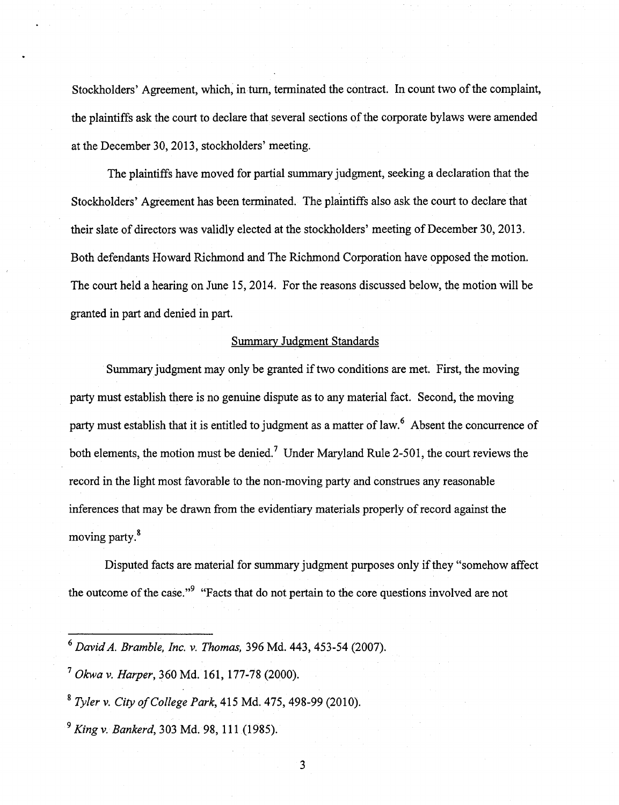Stockholders' Agreement, which, in turn, terminated the contract. In count two of the complaint, the plaintiffs ask the court to declare that several sections of the corporate bylaws were amended at the December 30, 2013, stockholders' meeting.

The plaintiffs have moved for partial summary judgment, seeking a declaration that the Stockholders' Agreement has been terminated. The plaintiffs also ask the court to declare that their slate of directors was validly elected at the stockholders' meeting of December 30, 2013. Both defendants Howard Richmond and The Richmond Corporation have opposed the motion. The court held a hearing on June 15, 2014. For the reasons discussed below, the motion will be granted in part and denied in part.

## Summary Judgment Standards

Summary judgment may only be granted if two conditions are met. First, the moving party must establish there is no genuine dispute as to any material fact. Second, the moving party must establish that it is entitled to judgment as a matter of law. $<sup>6</sup>$  Absent the concurrence of</sup> both elements, the motion must be denied.<sup>7</sup> Under Maryland Rule 2-501, the court reviews the record in the light most favorable to the non-moving party and construes any reasonable inferences that may be drawn from the evidentiary materials properly of record against the moving party.<sup>8</sup>

Disputed facts are material for summary judgment purposes only if they "somehow affect the outcome of the case."<sup>9</sup> "Facts that do not pertain to the core questions involved are not

 $^7$  Okwa v. Harper, 360 Md. 161, 177-78 (2000).

 $8$  Tyler v. City of College Park, 415 Md. 475, 498-99 (2010).

 $^9$  King v. Bankerd, 303 Md. 98, 111 (1985).

 $^6$  David A. Bramble, Inc. v. Thomas, 396 Md. 443, 453-54 (2007).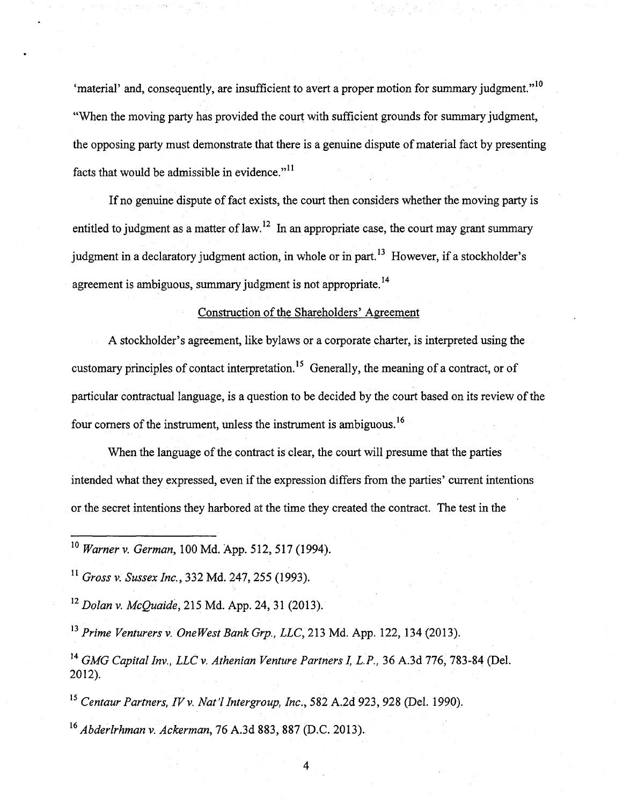'material' and, consequently, are insufficient to avert a proper motion for summary judgment."<sup>10</sup> "When the moving party has provided the court with sufficient grounds for summary judgment, the opposing party must demonstrate that there is a genuine dispute of material fact by presenting facts that would be admissible in evidence." $^{11}$ 

If no genuine dispute of fact exists, the court then considers whether the moving party is entitled to judgment as a matter of law.<sup>12</sup> In an appropriate case, the court may grant summary judgment in a declaratory judgment action, in whole or in part.<sup>13</sup> However, if a stockholder's agreement is ambiguous, summary judgment is not appropriate.<sup>14</sup>

#### Construction of the Shareholders' Agreement

A stockholder's agreement, like bylaws or a corporate charter, is interpreted using the customary principles of contact interpretation.<sup>15</sup> Generally, the meaning of a contract, or of particular contractual language, is a question to be decided by the court based on its review of the four corners of the instrument, unless the instrument is ambiguous.<sup>16</sup>

When the language of the contract is clear, the court will presume that the parties intended what they expressed, even if the expression differs from the parties' current intentions or the secret intentions they harbored at the time they created the contract. The test in the

<sup>10</sup> Warner v. German, 100 Md. App. 512, 517 (1994).

 $^{11}$  Gross v. Sussex Inc., 332 Md. 247, 255 (1993).

 $^{12}$  Dolan v. McQuaide, 215 Md. App. 24, 31 (2013).

 $^{13}$  Prime Venturers v. One West Bank Grp., LLC, 213 Md. App. 122, 134 (2013).

 $^{14}$  GMG Capital Inv., LLC v. Athenian Venture Partners I, L.P., 36 A.3d 776, 783-84 (Del. 2012).

 $^{15}$  Centaur Partners, IV v. Nat'l Intergroup, Inc., 582 A.2d 923, 928 (Del. 1990).  $^{16}$  Abderlrhman v. Ackerman, 76 A.3d 883, 887 (D.C. 2013).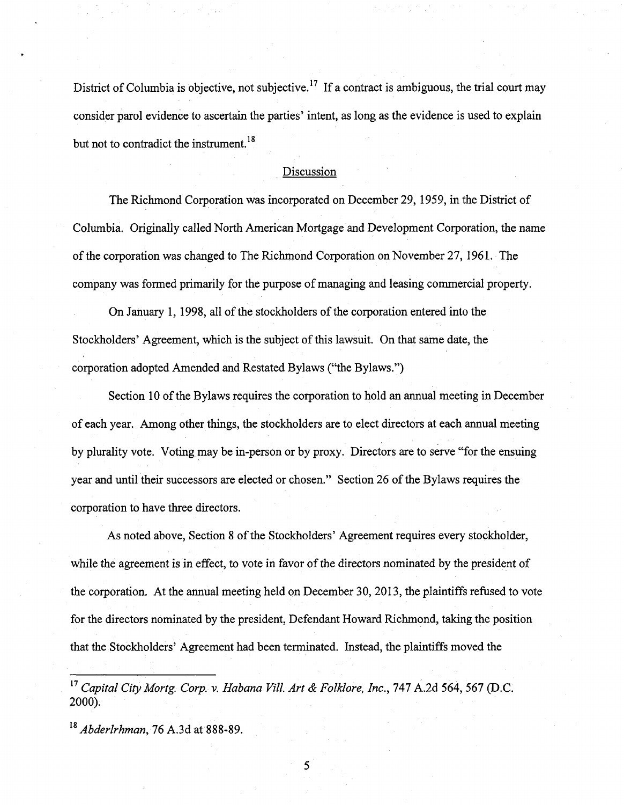District of Columbia is objective, not subjective.<sup>17</sup> If a contract is ambiguous, the trial court may consider parol evidence to ascertain the parties' intent, as long as the evidence is used to explain but not to contradict the instrument.<sup>18</sup>

#### Discussion

The Richmond Corporation was incorporated on December 29, 1959, in the District of

company was formed primarily for the purpose of managing and leasing commercial property. Stockholders' Agreement, which is the subject ofthis lawsuit. On that same date, the

of each year. Among other things, the stockholders are to elect directors at each annual meeting of each year. Among other things, the stockholders are to elect directors at each annual meeting by plurality vote. Voting may be in-person or by proxy. Directors are to serve "for the ensuing corporation to have three directors.

As noted above, Section 8 of the Stockholders' Agreement requires every stockholder, while the agreement is in effect, to vote in favor of the directors nominated by the president of the corporation. At the annual meeting held on December 30, 2013, the plaintiffs refused to vote for the directors nominated by the president, Defendant Howard Richmond, taking the position that the Stockholders' Agreement had been terminated. Instead, the plaintiffs moved the

 $^{17}$  Capital City Mortg. Corp. v. Habana Vill. Art & Folklore, Inc., 747 A.2d 564, 567 (D.C. 2000).

 $^{18}$  Abderlrhman, 76 A.3d at 888-89.

but not to contradict the instrument.  $\mathbf{r} = \mathbf{r} \cdot \mathbf{r}$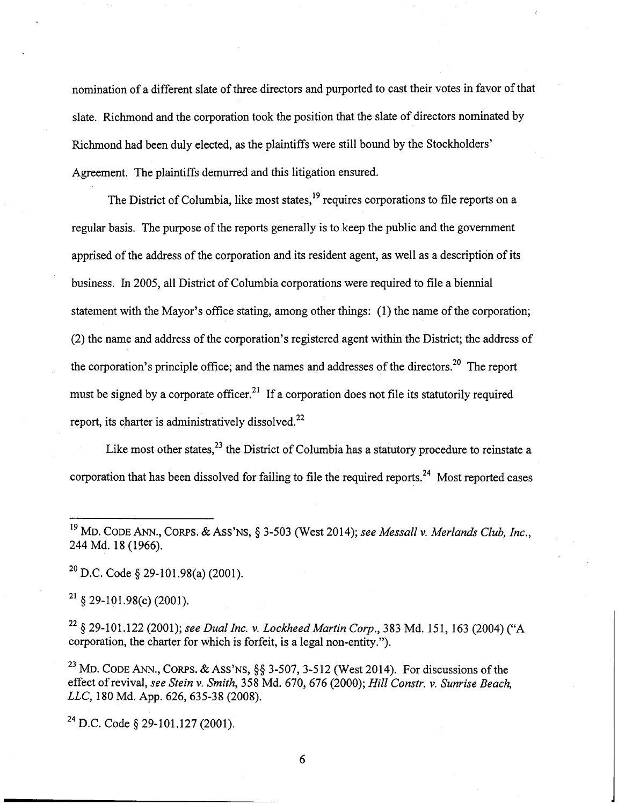nomination of a different slate of three directors and purported to cast their votes in favor of that slate. Richmond and the corporation took the position that the slate of directors nominated by Richmond had been duly elected, as the plaintiffs were still bound by the Stockholders' Agreement. The plaintiffs demurred and this litigation ensured.

The District of Columbia, like most states,  $^{19}$  requires corporations to file reports on a regular basis. The purpose of the reports generally is to keep the public and the government apprised of the address of the corporation and its resident agent, as well as a description of its business. In 2005, all District of Columbia corporations were required to file a biennial statement with the Mayor's office stating, among other things: (1) the name of the corporation; (2) the name and address of the corporation's registered agent within the District; the address of the corporation's principle office; and the names and addresses of the directors.<sup>20</sup> The report must be signed by a corporate officer.<sup>21</sup> If a corporation does not file its statutorily required report, its charter is administratively dissolved. $^{22}$ 

Like most other states,  $23$  the District of Columbia has a statutory procedure to reinstate a corporation that has been dissolved for failing to file the required reports.<sup>24</sup> Most reported cases

 $^{20}$  D.C. Code § 29-101.98(a) (2001).

 $^{21}$  § 29-101.98(c) (2001).

 $^{22}$  § 29-101.122 (2001); see Dual Inc. v. Lockheed Martin Corp., 383 Md. 151, 163 (2004) ("A corporation, the charter for which is forfeit, is a legal non-entity.").

<sup>23</sup> MD. CODE ANN., CORPS. & ASS'NS,  $\S\S$  3-507, 3-512 (West 2014). For discussions of the effect of revival, see Stein v. Smith, 358 Md. 670, 676 (2000); Hill Constr. v. Sunrise Beach, LLC, 180 Md. App. 626, 635-38 (2008).

 $^{24}$  D.C. Code § 29-101.127 (2001).

<sup>&</sup>lt;sup>19</sup> MD. CODE ANN., CORPS. & ASS'NS, § 3-503 (West 2014); see Messall v. Merlands Club, Inc., 244 Md. 18(1966).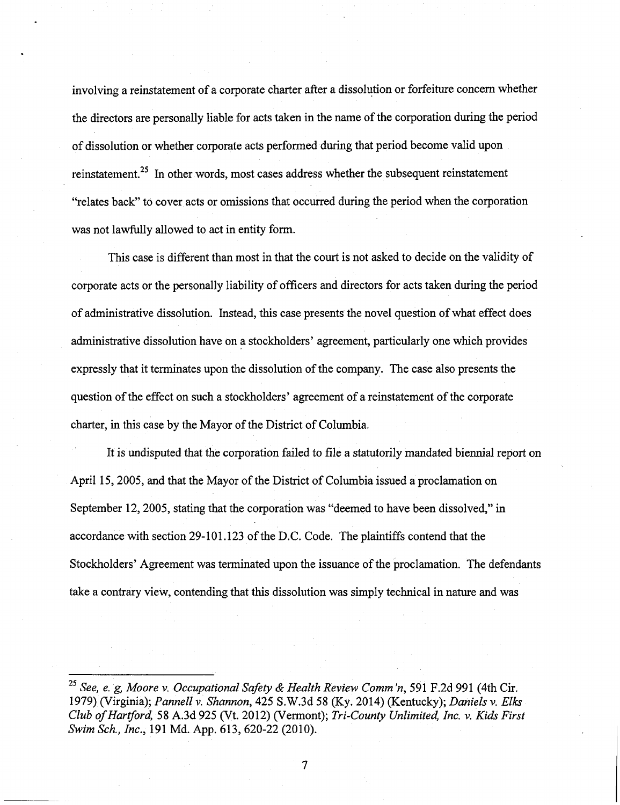involving a reinstatement of a corporate charter after a dissolution or forfeiture concern whether the directors are personally liable for acts taken in the name of the corporation during the period of dissolution or whether corporate acts performed during that period become valid upon reinstatement.<sup> $25$ </sup> In other words, most cases address whether the subsequent reinstatement "relates back" to cover acts or omissions that occurred during the period when the corporation was not lawfully allowed to act in entity form.

This case is different than most in that the court is not asked to decide on the validity of corporate acts or the personally liability of officers and directors for acts taken during the period of administrative dissolution. Instead, this case presents the novel question of what effect does administrative dissolution have on a stockholders' agreement, particularly one which provides expressly that it terminates upon the dissolution of the company. The case also presents the question of the effect on such a stockholders' agreement of a reinstatement of the corporate charter, in this case by the Mayor of the District of Columbia.

It is undisputed that the corporation failed to file a statutorily mandated biennial report on April 15, 2005, and that the Mayor of the District of Columbia issued a proclamation on September 12, 2005, stating that the corporation was "deemed to have been dissolved," in accordance with section 29-101.123 of the D.C. Code. The plaintiffs contend that the Stockholders' Agreement was terminated upon the issuance of the proclamation. The defendants take a contrary view, contending that this dissolution was simply technical in nature and was

 $\overline{\mathcal{I}}$ 

<sup>&</sup>lt;sup>25</sup> See, e. g, Moore v. Occupational Safety & Health Review Comm 'n, 591 F.2d 991 (4th Cir. 1979) (Virginia); Pannell v. Shannon, 425 S.W.3d 58 (Ky. 2014) (Kentucky); Daniels v. Elks Club of Hartford, 58 A.3d 925 (Vt. 2012) (Vermont); Tri-County Unlimited, Inc. v. Kids First Swim Sch, Inc., 191 Md. App. 613, 620-22 (2010).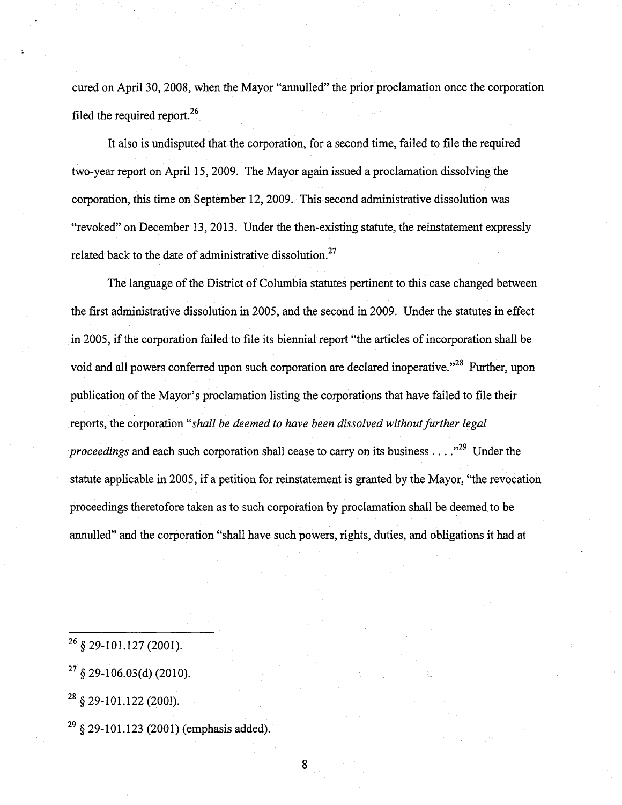cured on April 30, 2008, when the Mayor "annulled" the prior proclamation once the corporation filed the required report.<sup>26</sup>

It also is undisputed that the corporation, for a second time, failed to file the required two-year report on April 15, 2009. The Mayor again issued a proclamation dissolving the corporation, this time on September 12, 2009. This second administrative dissolution was "revoked" on December 13, 2013. Under the then-existing statute, the reinstatement expressly related back to the date of administrative dissolution. $27$ 

The language of the District of Columbia statutes pertinent to this case changed between the first administrative dissolution in 2005, and the second in 2009. Under the statutes in effect in 2005, if the corporation failed to file its biennial report "the articles of incorporation shall be void and all powers conferred upon such corporation are declared inoperative."<sup>28</sup> Further, upon publication of the Mayor's proclamation listing the corporations that have failed to file their reports, the corporation "shall be deemed to have been dissolved without further legal reports, the corporation ''shall be deemed to have been dissolved without further legal statute applicable in 2005, if a petition for reinstatement is granted by the Mayor, "the revocation proceedings theretofore taken as to such corporation by proclamation shall be deemed to be annulled" and the corporation "shall have such powers, rights, duties, and obligations it had at

annulled" and the corporation "shall have such powers, rights, duties, and obligations it had at had at had at<br>The corporations it had at had at had at had at had at had at had at had at had at had at had at had at had at

 $^{26}$  § 29-101.127 (2001).

 $^{27}$  § 29-106.03(d) (2010).

 $^{28}$  § 29-101.122 (2001).

 $^{29}$  § 29-101.123 (2001) (emphasis added).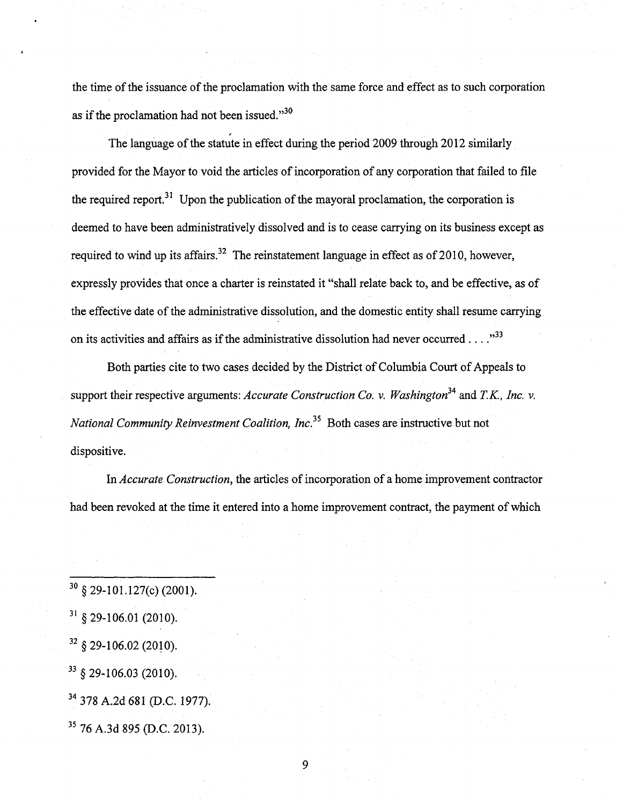the time of the issuance of the proclamation with the same force and effect as to such corporation as if the proclamation had not been issued." $30$ 

The language of the statute in effect during the period 2009 through 2012 similarly provided for the Mayor to void the articles of incorporation of any corporation that failed to file the required report.<sup>31</sup> Upon the publication of the mayoral proclamation, the corporation is deemed to have been administratively dissolved and is to cease carrying on its business except as required to wind up its affairs.<sup>32</sup> The reinstatement language in effect as of 2010, however, expressly provides that once a charter is reinstated it "shall relate back to, and be effective, as of the effective date of the administrative dissolution, and the domestic entity shall resume carrying on its activities and affairs as if the administrative dissolution had never occurred ...  $\cdot$ <sup>33</sup>

Both parties cite to two cases decided by the District of Columbia Court of Appeals to support their respective arguments: Accurate Construction Co. v. Washington<sup>34</sup> and T.K., Inc. v. National Community Reinvestment Coalition, Inc.<sup>35</sup> Both cases are instructive but not dispositive.

In Accurate Construction, the articles of incorporation of a home improvement contractor had been revoked at the time it entered into a home improvement contract, the payment of which

 $^{30}$  § 29-101.127(c) (2001).  $31 \text{ }$ §29-106.01 (2010).  $^{32}$  § 29-106.02 (2010).  $33\,$  § 29-106.03 (2010). <sup>34</sup> 378 A.2d 681 (D.C. 1977). <sup>35</sup> 76 A.3d 895 (D.C. 2013).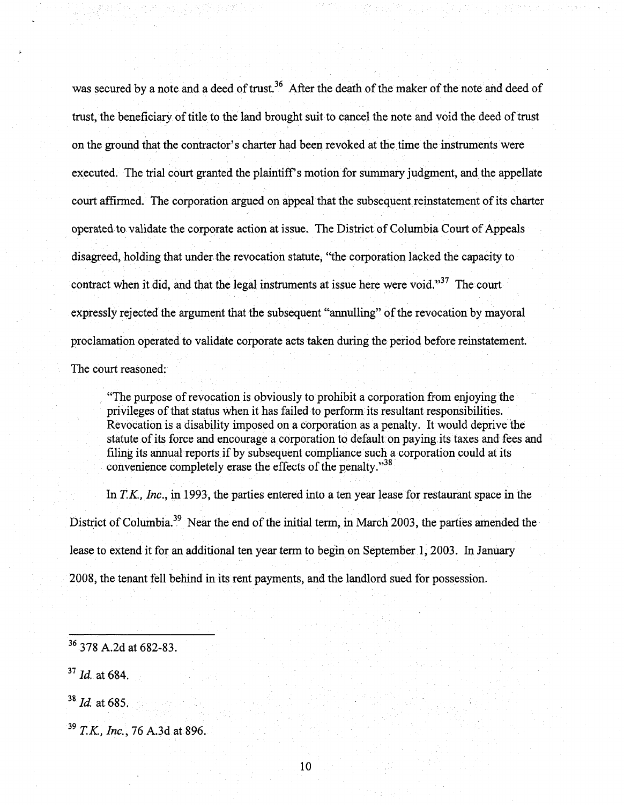was secured by a note and a deed of trust.<sup>36</sup> After the death of the maker of the note and deed of trust, the beneficiary of title to the land brought suit to cancel the note and void the deed of trust on the ground that the contractor's charter had been revoked at the time the instruments were executed. The trial court granted the plaintiff's motion for summary judgment, and the appellate court affirmed. The corporation argued on appeal that the subsequent reinstatement of its charter operated to validate the corporate action at issue. The District of Columbia Court of Appeals disagreed, holding that under the revocation statute, "the corporation lacked the capacity to contract when it did, and that the legal instruments at issue here were void."<sup>37</sup> The court expressly rejected the argument that the subsequent "annulling" of the revocation by mayoral proclamation operated to validate corporate acts taken during the period before reinstatement. The court reasoned:

"The purpose of revocation is obviously to prohibit a corporation from enjoying the privileges of that status when it has failed to perform its resultant responsibilities. Revocation is a disability imposed on a corporation as a penalty. It would deprive the statute of its force and encourage a corporation to default on paying its taxes and fees and filing its annual reports if by subsequent compliance such a corporation could at its convenience completely erase the effects of the penalty. $^{338}$ 

In  $T.K$ , *Inc.*, in 1993, the parties entered into a ten year lease for restaurant space in the District of Columbia.<sup>39</sup> Near the end of the initial term, in March 2003, the parties amended the lease to extend it for an additional ten year term to begin on September 1, 2003. In January 2008, the tenant fell behind in its rent payments, and the landlord sued for possession.

<sup>36</sup> 378 A.2d at 682-83.  $^{37}$  Id. at 684.  $^{38}$  *Id.* at 685.  $^{39}$  T.K., Inc., 76 A.3d at 896.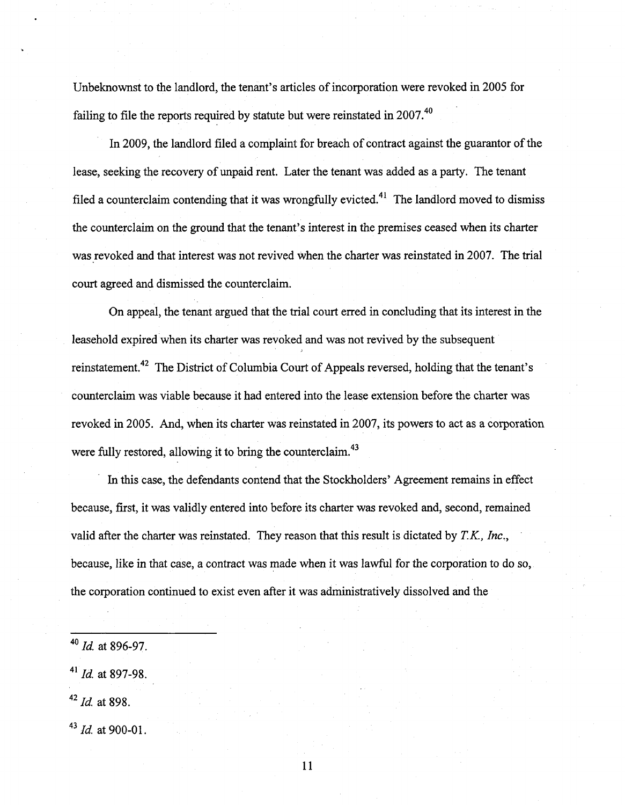Unbeknownst to the landlord, the tenant's articles of incorporation were revoked in 2005 for failing to file the reports required by statute but were reinstated in  $2007$ .<sup>40</sup>

In 2009, the landlord filed a complaint for breach of contract against the guarantor of the lease, seeking the recovery of unpaid rent. Later the tenant was added as a party. The tenant filed a counterclaim contending that it was wrongfully evicted.<sup>41</sup> The landlord moved to dismiss the counterclaim on the ground that the tenant's interest in the premises ceased when its charter was revoked and that interest was not revived when the charter was reinstated in 2007. The trial court agreed and dismissed the counterclaim.

On appeal, the tenant argued that the trial court erred in concluding that its interest in the leasehold expired when its charter was revoked and was not revived by the subsequent reinstatement.<sup>42</sup> The District of Columbia Court of Appeals reversed, holding that the tenant's counterclaim was viable because it had entered into the lease extension before the charter was revoked in 2005. And, when its charter was reinstated in 2007, its powers to act as a corporation were fully restored, allowing it to bring the counterclaim. $^{43}$ 

In this case, the defendants contend that the Stockholders' Agreement remains in effect because, first, it was validly entered into before its charter was revoked and, second, remained valid after the charter was reinstated. They reason that this result is dictated by  $T.K., Inc.,$ because, like in that case, a contract was made when it was lawful for the corporation to do so, the corporation continued to exist even after it was administratively dissolved and the

 $42$  *Id.* at 898.

 $^{43}$  *Id.* at 900-01.

 $^{40}$  *Id.* at 896-97.

 $^{41}$  *Id.* at 897-98.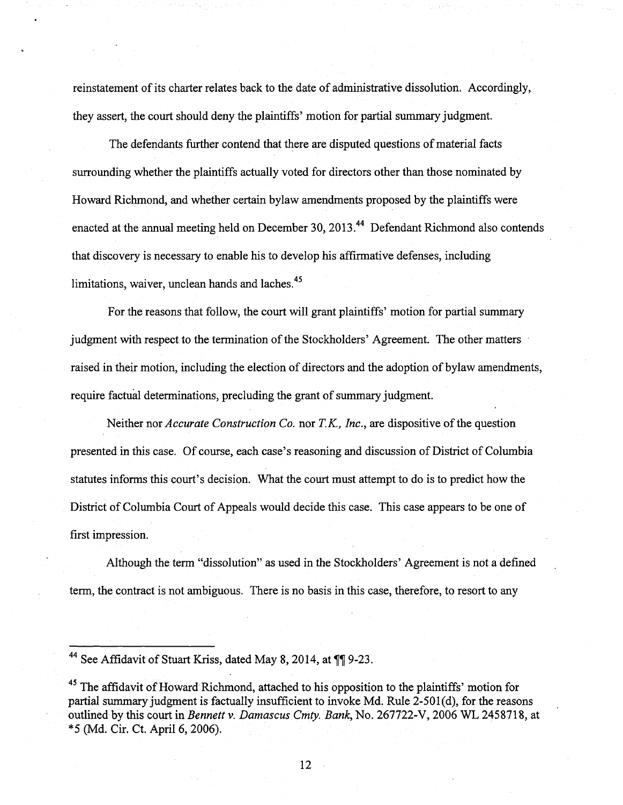reinstatement of its charter relates back to the date of administrative dissolution. Accordingly, they assert, the court should deny the plaintiffs' motion for partial summary judgment.

The defendants further contend that there are disputed questions of material facts surrounding whether the plaintiffs actually voted for directors other than those nominated by Howard Richmond, and whether certain bylaw amendments proposed by the plaintiffs were enacted at the annual meeting held on December 30, 2013.<sup>44</sup> Defendant Richmond also contends that discovery is necessary to enable his to develop his affirmative defenses, including limitations, waiver, unclean hands and laches. $45$ 

For the reasons that follow, the court will grant plaintiffs' motion for partial summary judgment with respect to the termination of the Stockholders' Agreement. The other matters raised in their motion, including the election of directors and the adoption of bylaw amendments, require factual determinations, precluding the grant of summary judgment.

Neither nor *Accurate Construction Co.* nor  $T.K.$ , Inc., are dispositive of the question presented in this case. Of course, each case's reasoning and discussion of District of Columbia statutes informs this court's decision. What the court must attempt to do is to predict how the District of Columbia Court of Appeals would decide this case. This case appears to be one of first impression.

Although the term "dissolution" as used in the Stockholders' Agreement is not a defined term, the contract is not ambiguous. There is no basis in this case, therefore, to resort to any

<sup>44</sup> See Affidavit of Stuart Kriss, dated May 8, 2014, at ¶¶ 9-23.

 $^{45}$  The affidavit of Howard Richmond, attached to his opposition to the plaintiffs' motion for partial summary judgment is factually insufficient to invoke Md. Rule 2-501(d), for the reasons outlined by this court in Bennett v. Damascus Cmty. Bank, No. 267722-V, 2006 WL 2458718, at \*5 (Md. Cir. Ct. April 6, 2006).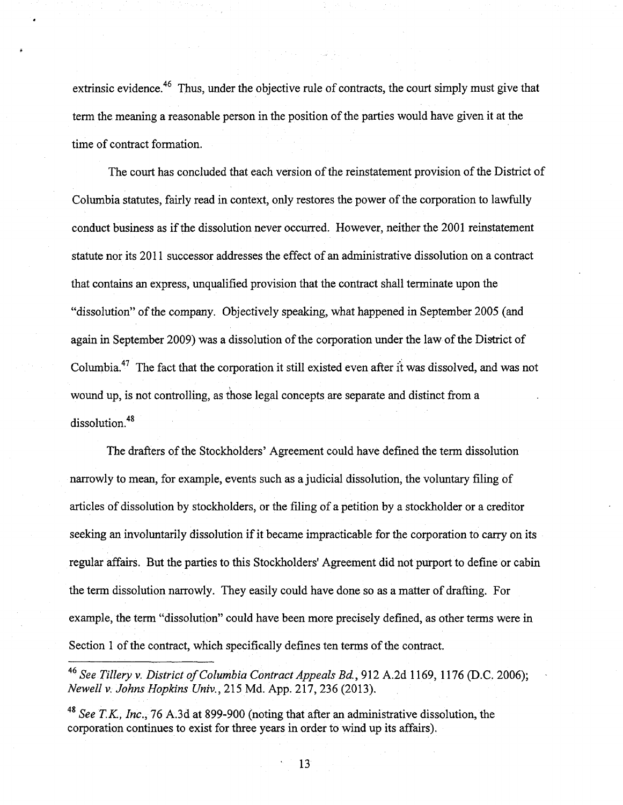extrinsic evidence.<sup>46</sup> Thus, under the objective rule of contracts, the court simply must give that term the meaning a reasonable person in the position of the parties would have given it at the time of contract formation.

The court has concluded that each version of the reinstatement provision of the District of Columbia statutes, fairly read in context, only restores the power of the corporation to lawfully conduct business as if the dissolution never occurred. However, neither the 2001 reinstatement statute nor its 2011 successor addresses the effect of an administrative dissolution on a contract that contains an express, unqualified provision that the contract shall terminate upon the "dissolution" of the company. Objectively speaking, what happened in September 2005 (and again in September 2009) was a dissolution of the corporation under the law of the District of Columbia.<sup>47</sup> The fact that the corporation it still existed even after it was dissolved, and was not wound up, is not controlling, as those legal concepts are separate and distinct from a dissolution.<sup>48</sup>

The drafters of the Stockholders' Agreement could have defined the term dissolution narrowly to mean, for example, events such as a judicial dissolution, the voluntary filing of articles of dissolution by stockholders, or the filing of a petition by a stockholder or a creditor seeking an involuntarily dissolution if it became impracticable for the corporation to carry on its regular affairs. But the parties to this Stockholders' Agreement did not purport to define or cabin the term dissolution narrowly. They easily could have done so as a matter of drafting. For example, the term "dissolution" could have been more precisely defined, as other terms were in Section 1 of the contract, which specifically defines ten terms of the contract.

<sup>46</sup> See Tillery v. District of Columbia Contract Appeals Bd., 912 A.2d 1169, 1176 (D.C. 2006); Newell V. Johns Hopkins Univ., 215 Md. App. 217, 236 (2013).

<sup>48</sup> See T.K., Inc., 76 A.3d at 899-900 (noting that after an administrative dissolution, the corporation continues to exist for three years in order to wind up its affairs).

' 13